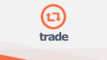

## trade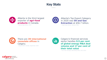

 $\bullet\bullet\bullet$ 



Alberta is the third largest exporter of **agri-food products** in Canada. *- Alberta Agriculture, 2019*





There are **39 international consulate offices** in Calgary. *- Global Affairs Canada, September 2020*

 $\mathbf{L}$ 

Calgary's financial services sector handles **9.5 per cent of global energy M&A deal volume and 17 per cent of their total value**

*- Five-Year Average, Bloomberg Data, 2012-2016*

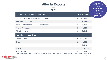| <b>Alberta Exports</b><br>$\bullet\bullet\bullet$<br>2021                                                                             |                |                              | Alberta<br>exports in 2021<br>totaled<br>\$138.4B<br>Alberta<br>exports in 2020 |
|---------------------------------------------------------------------------------------------------------------------------------------|----------------|------------------------------|---------------------------------------------------------------------------------|
| Top 5 Export Categories (NAICS)                                                                                                       |                | CAD\$ billion                | totaled<br>\$91.9B                                                              |
| Oil and Gas Extraction (except oil sands)                                                                                             | \$             | 93,826,985                   |                                                                                 |
| <b>Petroleum Refineries</b>                                                                                                           | $\frac{4}{5}$  | 5,946,094                    |                                                                                 |
| Resin and Synthetic Rubber Manufacturing                                                                                              | $\frac{1}{2}$  | 5,082,223                    |                                                                                 |
| <b>Animal Processing</b>                                                                                                              | $\frac{1}{2}$  | 4,423,874                    |                                                                                 |
| <b>Wheat Farming</b>                                                                                                                  | $\frac{1}{2}$  | 2,414,811                    |                                                                                 |
| <b>Top 5 Export Countries</b>                                                                                                         |                |                              |                                                                                 |
| <b>United States</b>                                                                                                                  | \$             | 122,673,787                  |                                                                                 |
| China                                                                                                                                 | $\frac{4}{5}$  | 4,556,987                    |                                                                                 |
| Japan                                                                                                                                 | $\frac{1}{2}$  | 2,519,953                    |                                                                                 |
| <b>Mexico</b>                                                                                                                         | $\mathfrak{P}$ | 1,462,746                    |                                                                                 |
| South Korea<br>Source: Industry Canada - Trade Data Online, Statistics Canada, May 2022; Note: Same five top industries and countries | $\frac{1}{2}$  | 669,533<br>as previous year. |                                                                                 |